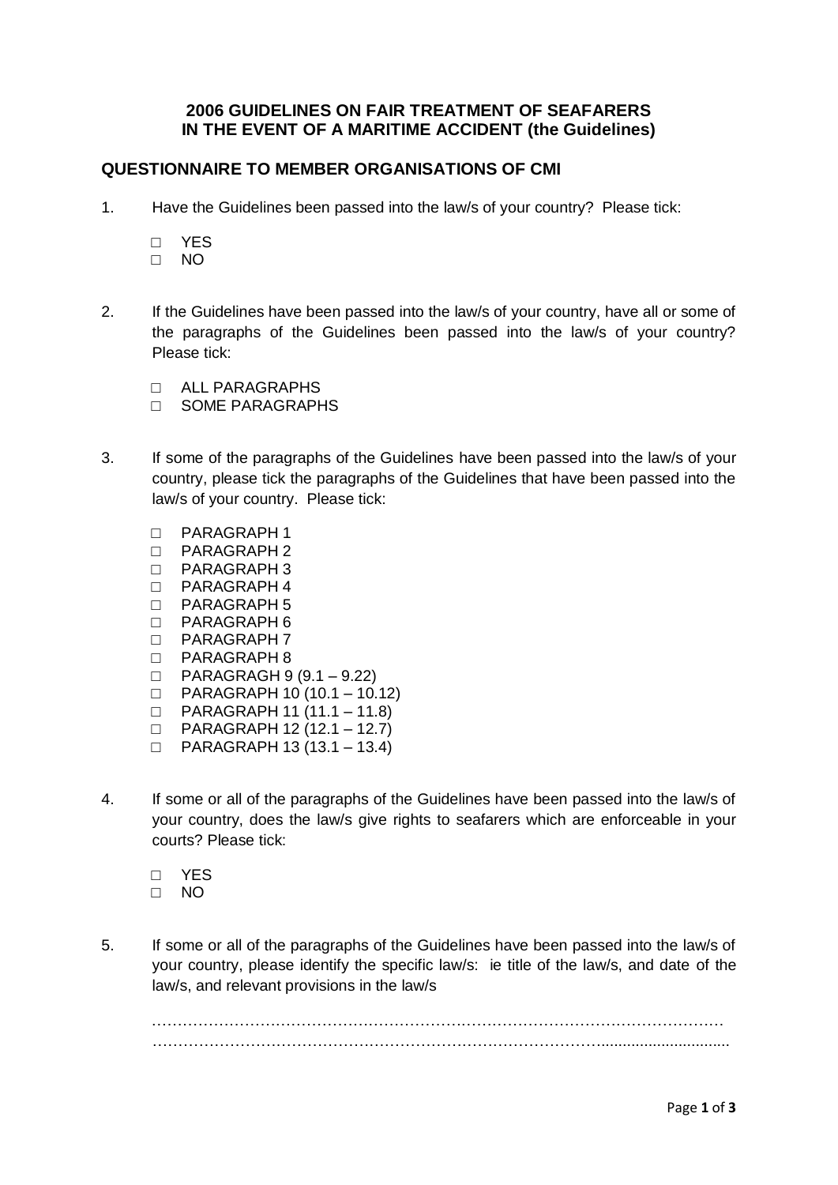## **2006 GUIDELINES ON FAIR TREATMENT OF SEAFARERS IN THE EVENT OF A MARITIME ACCIDENT (the Guidelines)**

## **QUESTIONNAIRE TO MEMBER ORGANISATIONS OF CMI**

- 1. Have the Guidelines been passed into the law/s of your country? Please tick:
	- □ YES
	- □ NO
- 2. If the Guidelines have been passed into the law/s of your country, have all or some of the paragraphs of the Guidelines been passed into the law/s of your country? Please tick:
	- □ ALL PARAGRAPHS
	- □ SOME PARAGRAPHS
- 3. If some of the paragraphs of the Guidelines have been passed into the law/s of your country, please tick the paragraphs of the Guidelines that have been passed into the law/s of your country. Please tick:
	- □ PARAGRAPH 1
	- $\Box$  PARAGRAPH 2
	- □ PARAGRAPH 3
	- □ PARAGRAPH 4
	- □ PARAGRAPH 5
	- □ PARAGRAPH 6
	- □ PARAGRAPH 7
	- □ PARAGRAPH 8
	- □ PARAGRAGH 9 (9.1 9.22)
	- $\Box$  PARAGRAPH 10 (10.1 10.12)
	- □ PARAGRAPH 11 (11.1 11.8)
	- □ PARAGRAPH 12 (12.1 12.7)
	- □ PARAGRAPH 13 (13.1 13.4)
- 4. If some or all of the paragraphs of the Guidelines have been passed into the law/s of your country, does the law/s give rights to seafarers which are enforceable in your courts? Please tick:
	- □ YES
	- □ NO
- 5. If some or all of the paragraphs of the Guidelines have been passed into the law/s of your country, please identify the specific law/s: ie title of the law/s, and date of the law/s, and relevant provisions in the law/s

………………………………………………………………………………………………… ……………………………………………………………………………..............................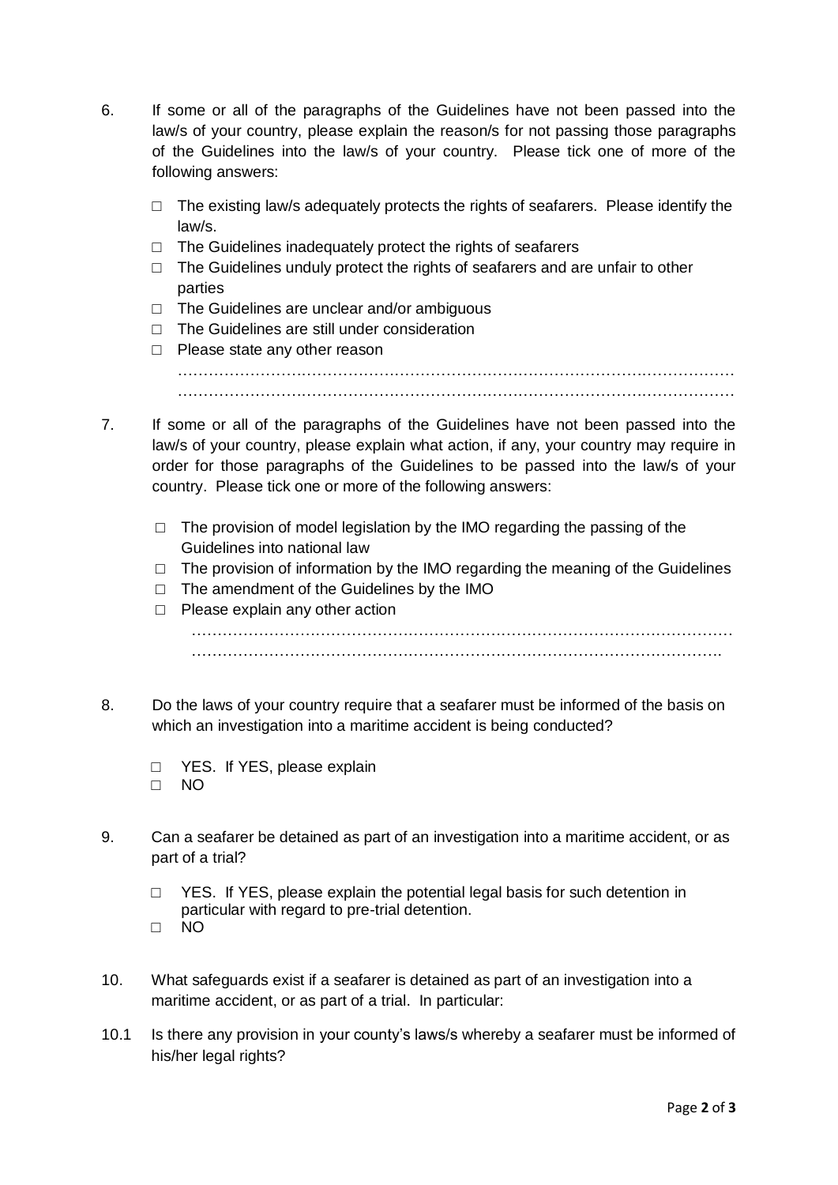- 6. If some or all of the paragraphs of the Guidelines have not been passed into the law/s of your country, please explain the reason/s for not passing those paragraphs of the Guidelines into the law/s of your country. Please tick one of more of the following answers:
	- $\Box$  The existing law/s adequately protects the rights of seafarers. Please identify the law/s.
	- □ The Guidelines inadequately protect the rights of seafarers
	- □ The Guidelines unduly protect the rights of seafarers and are unfair to other parties
	- □ The Guidelines are unclear and/or ambiguous
	- □ The Guidelines are still under consideration
	- □ Please state any other reason

……………………………………………………………………………………………… ………………………………………………………………………………………………

- 7. If some or all of the paragraphs of the Guidelines have not been passed into the law/s of your country, please explain what action, if any, your country may require in order for those paragraphs of the Guidelines to be passed into the law/s of your country. Please tick one or more of the following answers:
	- $\Box$  The provision of model legislation by the IMO regarding the passing of the Guidelines into national law
	- $\Box$  The provision of information by the IMO regarding the meaning of the Guidelines
	- $\Box$  The amendment of the Guidelines by the IMO
	- □ Please explain any other action

…………………………………………………………………………………………… ………………………………………………………………………………………….

- 8. Do the laws of your country require that a seafarer must be informed of the basis on which an investigation into a maritime accident is being conducted?
	- □ YES. If YES, please explain □ NO
- 9. Can a seafarer be detained as part of an investigation into a maritime accident, or as part of a trial?
	- □ YES. If YES, please explain the potential legal basis for such detention in particular with regard to pre-trial detention. □ NO
- 10. What safeguards exist if a seafarer is detained as part of an investigation into a maritime accident, or as part of a trial. In particular:
- 10.1 Is there any provision in your county's laws/s whereby a seafarer must be informed of his/her legal rights?